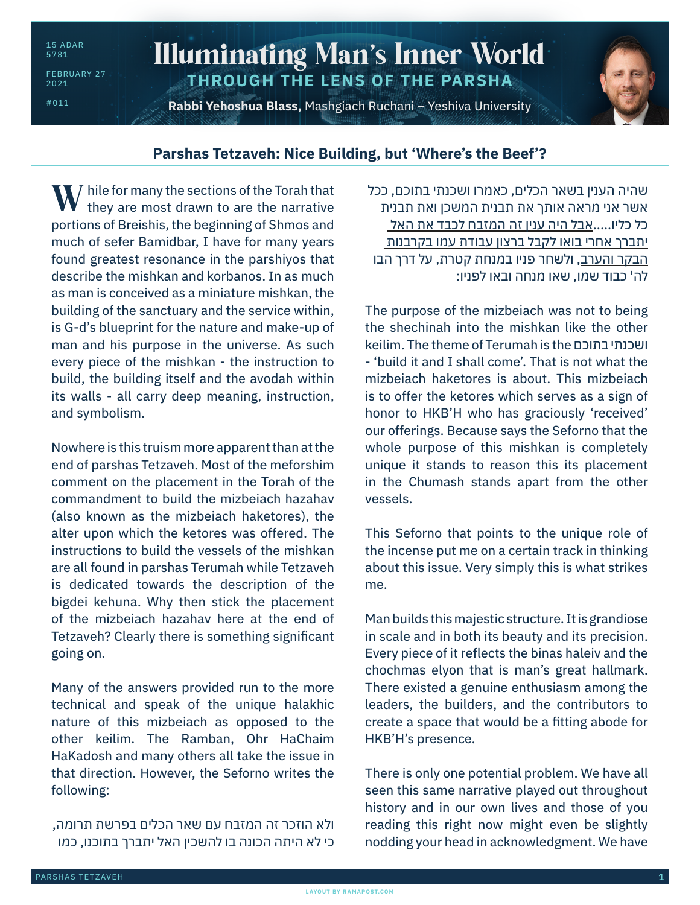FEBRUARY 27 2021

#011

## Illuminating Man's Inner World **THROUGH THE LENS OF THE PARSHA**

**Rabbi Yehoshua Blass,** Mashgiach Ruchani – Yeshiva University

## **Parshas Tetzaveh: Nice Building, but 'Where's the Beef'?**

 $\bf{W}$  hile for many the sections of the Torah that they are most drawn to are the narrative they are most drawn to are the narrative portions of Breishis, the beginning of Shmos and much of sefer Bamidbar, I have for many years found greatest resonance in the parshiyos that describe the mishkan and korbanos. In as much as man is conceived as a miniature mishkan, the building of the sanctuary and the service within, is G-d's blueprint for the nature and make-up of man and his purpose in the universe. As such every piece of the mishkan - the instruction to build, the building itself and the avodah within its walls - all carry deep meaning, instruction, and symbolism.

Nowhere is this truism more apparent than at the end of parshas Tetzaveh. Most of the meforshim comment on the placement in the Torah of the commandment to build the mizbeiach hazahav (also known as the mizbeiach haketores), the alter upon which the ketores was offered. The instructions to build the vessels of the mishkan are all found in parshas Terumah while Tetzaveh is dedicated towards the description of the bigdei kehuna. Why then stick the placement of the mizbeiach hazahav here at the end of Tetzaveh? Clearly there is something significant going on.

Many of the answers provided run to the more technical and speak of the unique halakhic nature of this mizbeiach as opposed to the other keilim. The Ramban, Ohr HaChaim HaKadosh and many others all take the issue in that direction. However, the Seforno writes the following:

ולא הוזכר זה המזבח עם שאר הכלים בפרשת תרומה, כי לא היתה הכונה בו להשכין האל יתברך בתוכנו, כמו

שהיה הענין בשאר הכלים, כאמרו ושכנתי בתוכם, ככל אשר אני מראה אותך את תבנית המשכן ואת תבנית כל כליו.....אבל היה ענין זה המזבח לכבד את האל יתברך אחרי בואו לקבל ברצון עבודת עמו בקרבנות הבקר והערב, ולשחר פניו במנחת קטרת, על דרך הבו לה' כבוד שמו, שאו מנחה ובאו לפניו:

The purpose of the mizbeiach was not to being the shechinah into the mishkan like the other keilim. The theme of Terumah is the בתוכם ושכנתי - 'build it and I shall come'. That is not what the mizbeiach haketores is about. This mizbeiach is to offer the ketores which serves as a sign of honor to HKB'H who has graciously 'received' our offerings. Because says the Seforno that the whole purpose of this mishkan is completely unique it stands to reason this its placement in the Chumash stands apart from the other vessels.

This Seforno that points to the unique role of the incense put me on a certain track in thinking about this issue. Very simply this is what strikes me.

Man builds this majestic structure. It is grandiose in scale and in both its beauty and its precision. Every piece of it reflects the binas haleiv and the chochmas elyon that is man's great hallmark. There existed a genuine enthusiasm among the leaders, the builders, and the contributors to create a space that would be a fitting abode for HKB'H's presence.

There is only one potential problem. We have all seen this same narrative played out throughout history and in our own lives and those of you reading this right now might even be slightly nodding your head in acknowledgment. We have